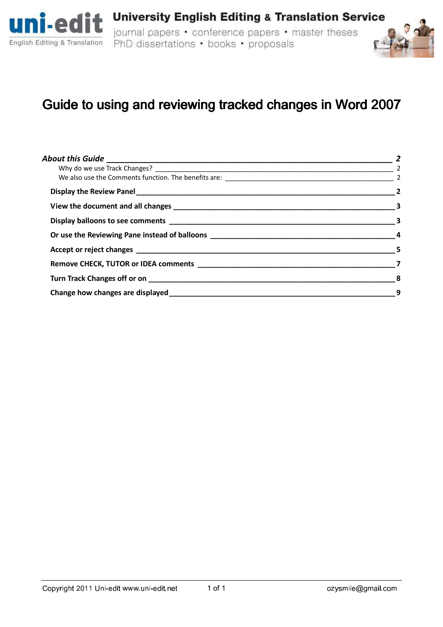



# Guide to using and reviewing tracked changes in Word 2007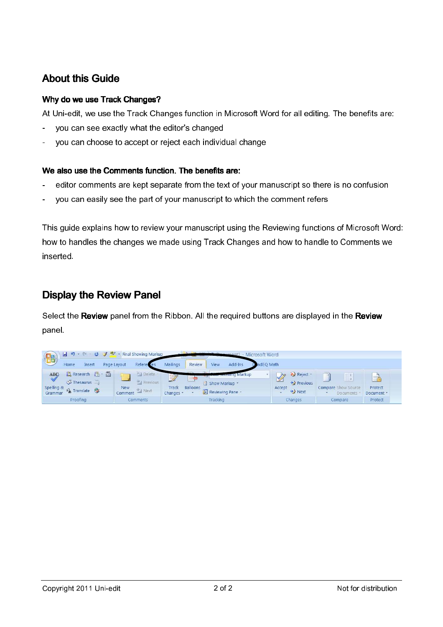# **About this Guide**

#### Why do we use Track Changes?

At Uni-edit, we use the Track Changes function in Microsoft Word for all editing. The benefits are:

- you can see exactly what the editor's changed
- you can choose to accept or reject each individual change

#### We also use the Comments function. The benefits are:

- editor comments are kept separate from the text of your manuscript so there is no confusion
- you can easily see the part of your manuscript to which the comment refers

This guide explains how to review your manuscript using the Reviewing functions of Microsoft Word: how to handles the changes we made using Track Changes and how to handle to Comments we inserted.

### Display the Review Panel

Select the Review panel from the Ribbon. All the required buttons are displayed in the Review panel.

| 围                                                  |                                                                                           | $\frac{1}{2}$ + $\frac{1}{2}$ + $\frac{1}{2}$ + $\frac{1}{2}$ + Final Showing Markup |                                                                   | - Microsoft Word                               |                                          |                                  |                                               |
|----------------------------------------------------|-------------------------------------------------------------------------------------------|--------------------------------------------------------------------------------------|-------------------------------------------------------------------|------------------------------------------------|------------------------------------------|----------------------------------|-----------------------------------------------|
|                                                    | Home<br><b>Insert</b>                                                                     | Page Layout<br>References                                                            | Review<br>Mailings                                                | ndEO Math<br>View<br>Add-Ins                   |                                          |                                  |                                               |
| ABC<br>$\rightsquigarrow$<br>Spelling &<br>Grammar | 入 Research (当 * 證)<br>$\overline{S}$ Thesaurus $\overline{S}$<br>a <sub>b</sub> Translate | O Delete<br>Previous<br><b>New</b><br><b>Mext</b><br>Comment                         | $\rightarrow$<br><b>Courses</b><br>Track<br>Balloons<br>Changes * | ng Markup<br>Show Markup *<br>Reviewing Pane - | Reject -<br>Previous<br>Accept<br>₹ Next | Compare Show Source<br>Documents | $\rightarrow$<br>EA,<br>Protect<br>Document * |
|                                                    | Proofing                                                                                  | Comments                                                                             |                                                                   | Tracking                                       | Changes                                  | Compare                          | Protect                                       |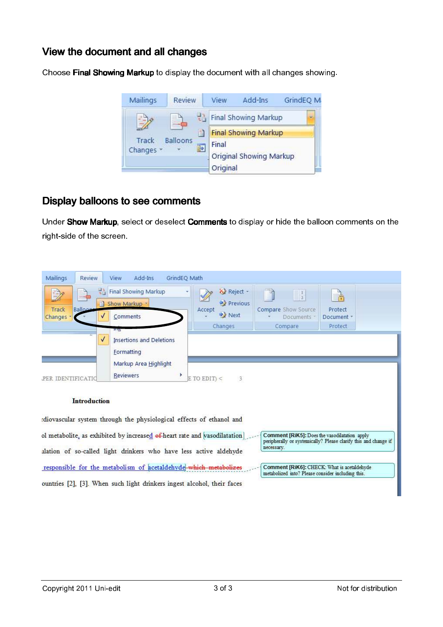### View the document and all changes

Choose Final Showing Markup to display the document with all changes showing.



### Display balloons to see comments

Under Show Markup, select or deselect Comments to display or hide the balloon comments on the right-side of the screen.

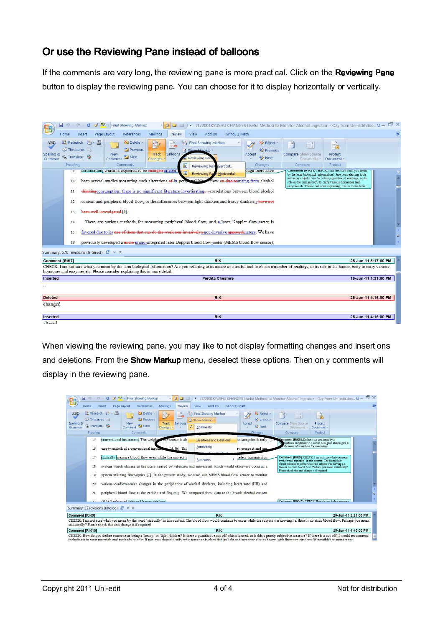## Or use the Reviewing Pane instead of balloons

If the comments are very long, the reviewing pane is more practical. Click on the Reviewing Pane button to display the reviewing pane. You can choose for it to display horizontally or vertically.



When viewing the reviewing pane, you may like to not display formatting changes and insertions and deletions. From the Show Markup menu, deselect these options. Then only comments will display in the reviewing pane.

| u<br>127<br>$-12$<br>Home<br>Insert                                                                                                                                                                                                                                                                                                                                                                             | ab<br>- Final Showing Markup<br>References<br>Page Layout                                                                                                    | Mailings<br><b>Review</b>                     | Add-Ins<br>View                                                                                                                                                                                                                                                                    | GrindEQ Math                                                       |                                                                                                                                     | J172001KYUSHU CHANGES Useful Method to Monitor Alcohol Ingestion - Ozy from Uni-edit.doc M - E X                                                                                                                                                                                                          |                      |
|-----------------------------------------------------------------------------------------------------------------------------------------------------------------------------------------------------------------------------------------------------------------------------------------------------------------------------------------------------------------------------------------------------------------|--------------------------------------------------------------------------------------------------------------------------------------------------------------|-----------------------------------------------|------------------------------------------------------------------------------------------------------------------------------------------------------------------------------------------------------------------------------------------------------------------------------------|--------------------------------------------------------------------|-------------------------------------------------------------------------------------------------------------------------------------|-----------------------------------------------------------------------------------------------------------------------------------------------------------------------------------------------------------------------------------------------------------------------------------------------------------|----------------------|
| 説 Research 图 - 證<br>ABC<br>Thesaurus<br>Spelling &<br>a <sub>3</sub> Translate<br>Grammar<br>Proofing                                                                                                                                                                                                                                                                                                           | Delete<br>Previous<br><b>New</b><br>Next <sub>1</sub><br>Comment<br><b>Comments</b>                                                                          | $\Rightarrow$<br>Balloons<br>Track<br>Changes | 벎<br><b>Final Showing Markup</b><br>Show Markup *<br><b>Comments</b>                                                                                                                                                                                                               | X2 Reject<br><b>Previous</b><br>Accept<br><b>→</b> Next<br>Changes | $\frac{1}{2}$<br>Compare Show Source<br><b>Documents</b><br>Compare                                                                 | à<br>Protect<br>Document *<br>Protect                                                                                                                                                                                                                                                                     |                      |
| 15<br>16<br>17<br>18<br>19                                                                                                                                                                                                                                                                                                                                                                                      | conventional instrument. The weight-<br>one-twentieth of a conventional instrument [5], [6]. This<br>statically measure blood flow even while the subject is | the sensor is ab-                             | <b>Insertions and Deletions</b><br>Formatting<br><b>Reviewers</b><br>system which eliminates the noise caused by vibration and movement which would otherwise occur in a<br>system utilizing fiber-optics [7]. In the present study, we used our MEMS blood flow sensor to monitor | onsumption is only<br>ry compact and can<br>reless transmission    | comment [RiK8]: Define what you mean by a<br>cific name of a machine for comparison.<br>Please check this and change it if required | ventional instrument'? It would be a good idea to give a<br>Comment [RiK9]: CHECK: I am not sure what you mean<br>by the word 'statically' in this context. The blood flow<br>would continue to occur while the subject was moving i.e.<br>there is no static blood flow. Perhaps you mean statistically? |                      |
| 20<br>21<br>22                                                                                                                                                                                                                                                                                                                                                                                                  | (DAC) enlaces of light and honor drinks and                                                                                                                  |                                               | various cardiovascular changes in the peripheries of alcohol drinkers, including heart rate (HR) and<br>peripheral blood flow at the earlobe and fingertip. We compared these data to the breath alcohol content                                                                   |                                                                    |                                                                                                                                     | Commont (DiK10): CUECY, Usuado una define comon                                                                                                                                                                                                                                                           |                      |
| Summary: 32 revisions (filtered) $C^* \times X$                                                                                                                                                                                                                                                                                                                                                                 |                                                                                                                                                              |                                               |                                                                                                                                                                                                                                                                                    |                                                                    |                                                                                                                                     |                                                                                                                                                                                                                                                                                                           |                      |
| <b>Comment [RiK9]</b><br>CHECK: I am not sure what you mean by the word 'statically' in this context. The blood flow would continue to occur while the subject was moving i.e. there is no static blood flow. Perhaps you mean<br>statistically? Please check this and change it if required                                                                                                                    |                                                                                                                                                              |                                               | <b>RiK</b>                                                                                                                                                                                                                                                                         |                                                                    |                                                                                                                                     |                                                                                                                                                                                                                                                                                                           | 25-Jun-11 5:21:00 PM |
| Comment [RiK10]                                                                                                                                                                                                                                                                                                                                                                                                 |                                                                                                                                                              |                                               | <b>RiK</b>                                                                                                                                                                                                                                                                         |                                                                    |                                                                                                                                     |                                                                                                                                                                                                                                                                                                           | 25-Jun-11 4:40:00 PM |
| CHECK: How do you define someone as being a 'heavy' or 'light' drinker? Is there a quantitative cut-off which is used, or is this a purely subjective measure? If there is a cut-off, I would recommend<br>including it in your materials and methods briefly. If not, you should justify why someone is classified as light and someone else as heavy, with literature citations (if nossible) to support you. |                                                                                                                                                              |                                               |                                                                                                                                                                                                                                                                                    |                                                                    |                                                                                                                                     |                                                                                                                                                                                                                                                                                                           |                      |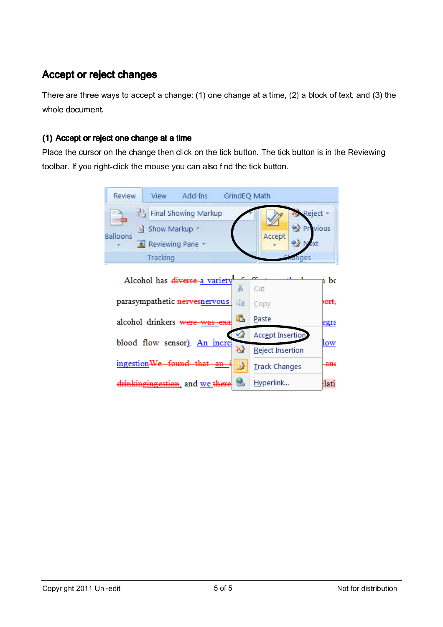# Accept or reject changes

There are three ways to accept a change: (1) one change at a time, (2) a block of text, and (3) the whole document.

#### (1) Accept or reject one change at a time

Place the cursor on the change then click on the tick button. The tick button is in the Reviewing toolbar. If you right-click the mouse you can also find the tick button.

| <b>Review</b>                | View             | Add-Ins                         | GrindEQ Math           |                         |                 |                  |
|------------------------------|------------------|---------------------------------|------------------------|-------------------------|-----------------|------------------|
| com-                         | 国主               | <b>Final Showing Markup</b>     |                        |                         | Reject -        |                  |
| <b>Balloons</b>              | Show Markup *    |                                 |                        | Accept                  | <b>Previous</b> |                  |
|                              | Reviewing Pane * |                                 |                        |                         |                 |                  |
|                              | Tracking         |                                 |                        |                         | anges           |                  |
|                              |                  | Alcohol has diverse a variety   | Ж                      | Cut                     |                 | n be             |
|                              |                  | parasympathetic nervesnervous   | e <sub>e</sub>         | Copy                    |                 | <del>)ort.</del> |
|                              |                  | alcohol drinkers were was exa   | Ċ.                     | Paste                   |                 | egra             |
| blood flow sensor). An incre |                  |                                 |                        | <b>Accept Insertion</b> |                 | low              |
|                              |                  |                                 | $\bar{\bm{\varkappa}}$ | Reject Insertion        |                 |                  |
|                              |                  | ingestion We found that an      | ₿                      | <b>Track Changes</b>    |                 | <del>an</del>    |
|                              |                  | drinkingingestion, and we there | رشتا                   | Hyperlink               |                 | :lati            |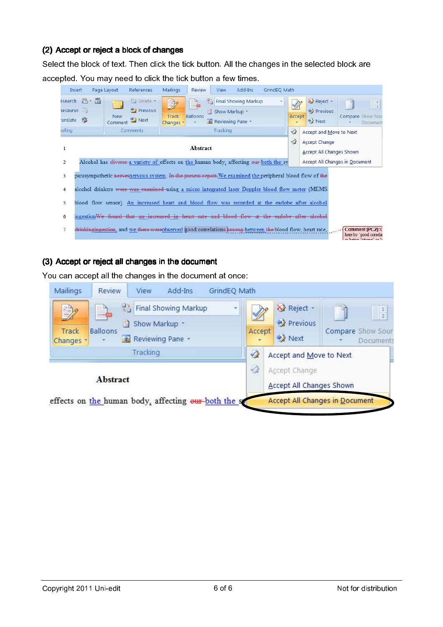#### (2) Accept or reject a block of changes

Select the block of text. Then click the tick button. All the changes in the selected block are accepted. You may need to click the tick button a few times.



#### (3) Accept or reject all changes in the document

You can accept all the changes in the document at once:

| Mailings           | Review          | View     | Add-Ins                                              | GrindEQ Math |               |                                                  |                                       |
|--------------------|-----------------|----------|------------------------------------------------------|--------------|---------------|--------------------------------------------------|---------------------------------------|
| $\Rightarrow$      | <b>ALCOHOL</b>  | e.       | 말 Final Showing Markup<br>Show Markup *              | ç            |               | Reject -<br>Previous                             | $\frac{1}{2}$                         |
| Track<br>Changes * | <b>Balloons</b> |          | Reviewing Pane *                                     |              | Accept        | <b>22</b> Next                                   | Compare Show Sour<br>Documents        |
|                    |                 | Tracking |                                                      |              | $\mathscr{D}$ | Accept and Move to Next                          |                                       |
|                    | <b>Abstract</b> |          |                                                      |              | $\mathscr{A}$ | Accept Change<br><b>Accept All Changes Shown</b> |                                       |
|                    |                 |          | effects on the human body, affecting our both the se |              |               |                                                  | <b>Accept All Changes in Document</b> |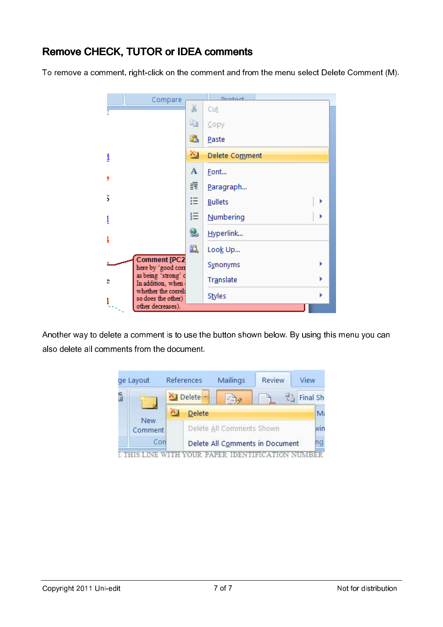# Remove CHECK, TUTOR or IDEA comments

To remove a comment, right-click on the comment and from the menu select Delete Comment (M).



Another way to delete a comment is to use the button shown below. By using this menu you can also delete all comments from the document.



**E THIS LINE WITH YOUR PAPER IDENTIFICATION NUMBER**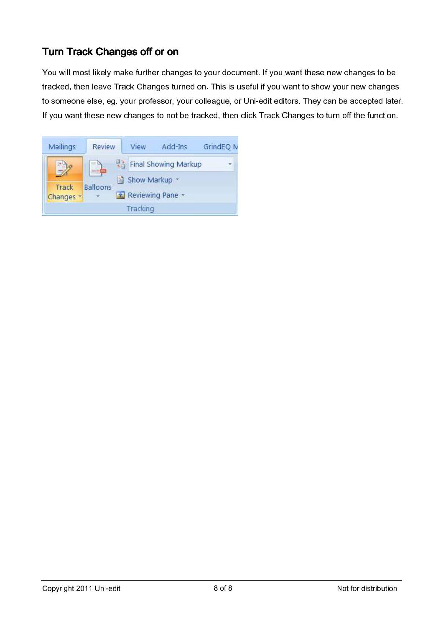# Turn Track Changes off or on

You will most likely make further changes to your document. If you want these new changes to be tracked, then leave Track Changes turned on. This is useful if you want to show your new changes to someone else, eg. your professor, your colleague, or Uni-edit editors. They can be accepted later. If you want these new changes to not be tracked, then click Track Changes to turn off the function.